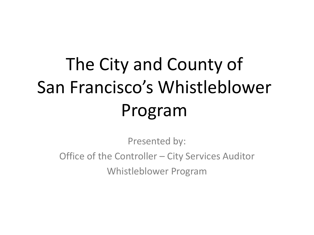# The City and County of San Francisco's Whistleblower Program

Presented by:

Office of the Controller – City Services Auditor Whistleblower Program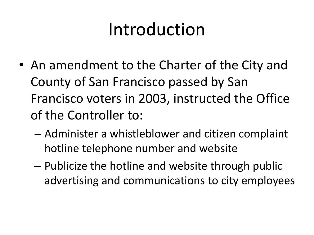## Introduction

- An amendment to the Charter of the City and County of San Francisco passed by San Francisco voters in 2003, instructed the Office of the Controller to:
	- Administer a whistleblower and citizen complaint hotline telephone number and website
	- Publicize the hotline and website through public advertising and communications to city employees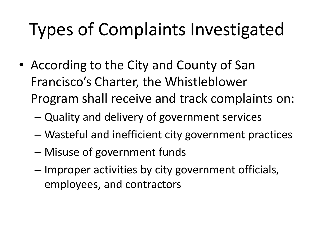# Types of Complaints Investigated

- According to the City and County of San Francisco's Charter, the Whistleblower Program shall receive and track complaints on:
	- Quality and delivery of government services
	- Wasteful and inefficient city government practices
	- Misuse of government funds
	- Improper activities by city government officials, employees, and contractors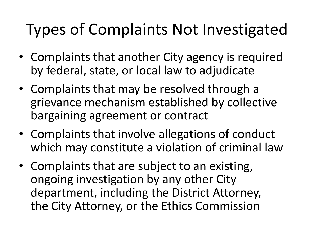#### Types of Complaints Not Investigated

- Complaints that another City agency is required by federal, state, or local law to adjudicate
- Complaints that may be resolved through a grievance mechanism established by collective bargaining agreement or contract
- Complaints that involve allegations of conduct which may constitute a violation of criminal law
- Complaints that are subject to an existing, ongoing investigation by any other City department, including the District Attorney, the City Attorney, or the Ethics Commission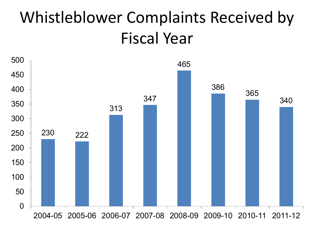#### Whistleblower Complaints Received by Fiscal Year

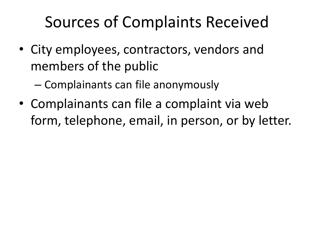#### Sources of Complaints Received

• City employees, contractors, vendors and members of the public

– Complainants can file anonymously

• Complainants can file a complaint via web form, telephone, email, in person, or by letter.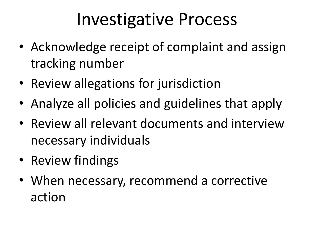### Investigative Process

- Acknowledge receipt of complaint and assign tracking number
- Review allegations for jurisdiction
- Analyze all policies and guidelines that apply
- Review all relevant documents and interview necessary individuals
- Review findings
- When necessary, recommend a corrective action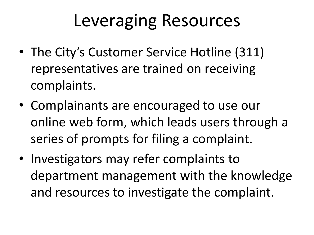### Leveraging Resources

- The City's Customer Service Hotline (311) representatives are trained on receiving complaints.
- Complainants are encouraged to use our online web form, which leads users through a series of prompts for filing a complaint.
- Investigators may refer complaints to department management with the knowledge and resources to investigate the complaint.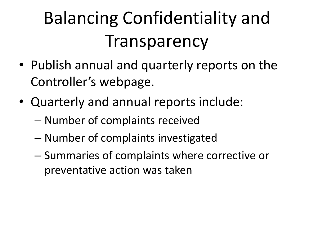# Balancing Confidentiality and Transparency

- Publish annual and quarterly reports on the Controller's webpage.
- Quarterly and annual reports include:
	- Number of complaints received
	- Number of complaints investigated
	- Summaries of complaints where corrective or preventative action was taken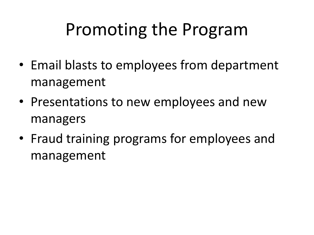# Promoting the Program

- Email blasts to employees from department management
- Presentations to new employees and new managers
- Fraud training programs for employees and management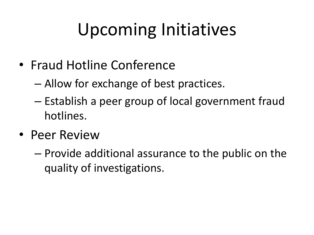# Upcoming Initiatives

- Fraud Hotline Conference
	- Allow for exchange of best practices.
	- Establish a peer group of local government fraud hotlines.
- Peer Review
	- Provide additional assurance to the public on the quality of investigations.